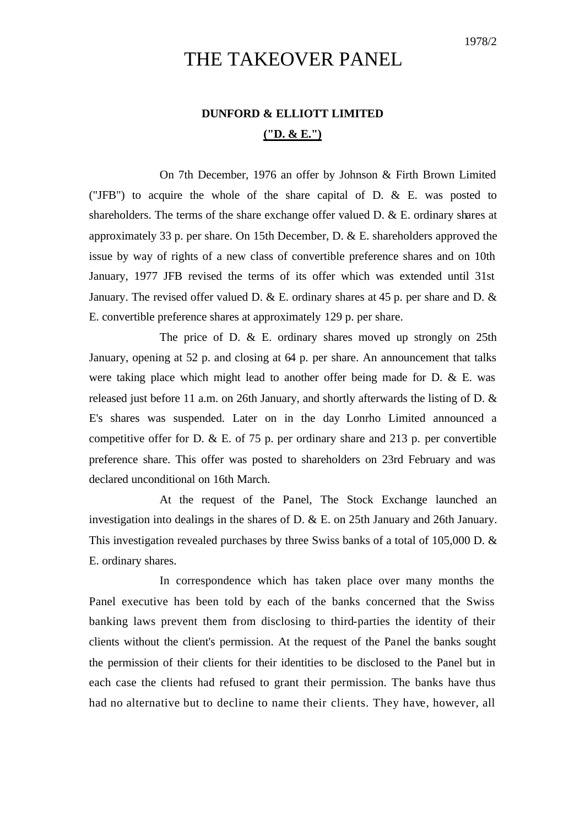## THE TAKEOVER PANEL

## **DUNFORD & ELLIOTT LIMITED ("D. & E.")**

On 7th December, 1976 an offer by Johnson & Firth Brown Limited ("JFB") to acquire the whole of the share capital of D. & E. was posted to shareholders. The terms of the share exchange offer valued D. & E. ordinary shares at approximately 33 p. per share. On 15th December, D. & E. shareholders approved the issue by way of rights of a new class of convertible preference shares and on 10th January, 1977 JFB revised the terms of its offer which was extended until 31st January. The revised offer valued D.  $\&$  E. ordinary shares at 45 p. per share and D.  $\&$ E. convertible preference shares at approximately 129 p. per share.

The price of D. & E. ordinary shares moved up strongly on 25th January, opening at 52 p. and closing at 64 p. per share. An announcement that talks were taking place which might lead to another offer being made for D. & E. was released just before 11 a.m. on 26th January, and shortly afterwards the listing of D. & E's shares was suspended. Later on in the day Lonrho Limited announced a competitive offer for D.  $&$  E. of 75 p. per ordinary share and 213 p. per convertible preference share. This offer was posted to shareholders on 23rd February and was declared unconditional on 16th March.

At the request of the Panel, The Stock Exchange launched an investigation into dealings in the shares of D. & E. on 25th January and 26th January. This investigation revealed purchases by three Swiss banks of a total of 105,000 D. & E. ordinary shares.

In correspondence which has taken place over many months the Panel executive has been told by each of the banks concerned that the Swiss banking laws prevent them from disclosing to third-parties the identity of their clients without the client's permission. At the request of the Panel the banks sought the permission of their clients for their identities to be disclosed to the Panel but in each case the clients had refused to grant their permission. The banks have thus had no alternative but to decline to name their clients. They have, however, all